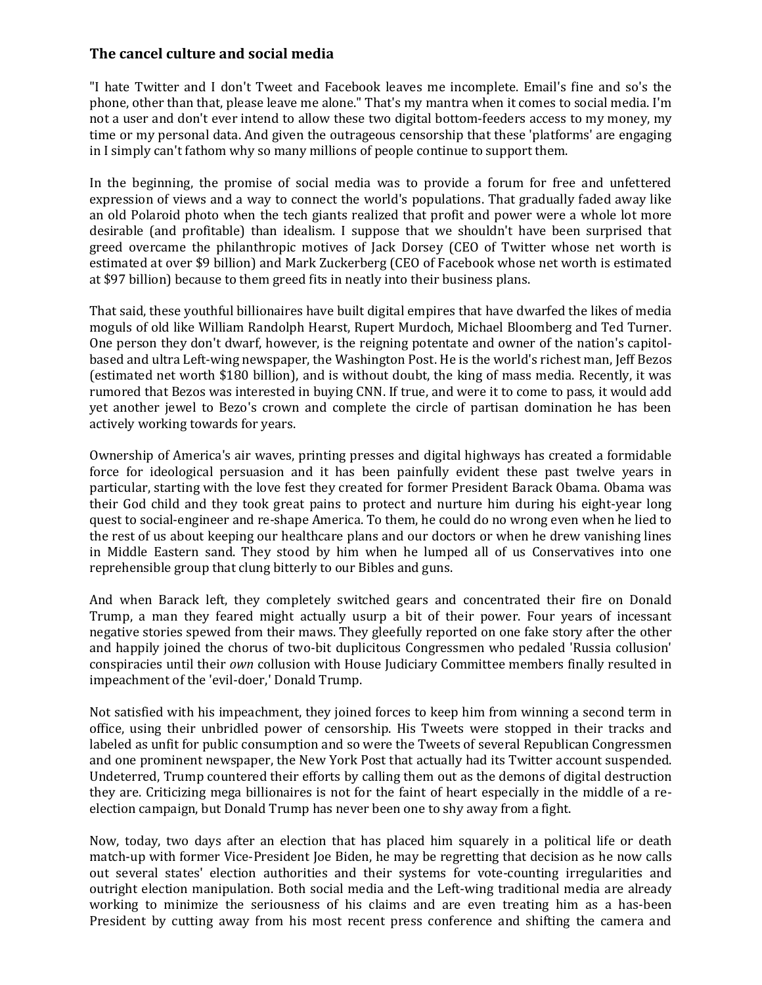## **The cancel culture and social media**

"I hate Twitter and I don't Tweet and Facebook leaves me incomplete. Email's fine and so's the phone, other than that, please leave me alone." That's my mantra when it comes to social media. I'm not a user and don't ever intend to allow these two digital bottom-feeders access to my money, my time or my personal data. And given the outrageous censorship that these 'platforms' are engaging in I simply can't fathom why so many millions of people continue to support them.

In the beginning, the promise of social media was to provide a forum for free and unfettered expression of views and a way to connect the world's populations. That gradually faded away like an old Polaroid photo when the tech giants realized that profit and power were a whole lot more desirable (and profitable) than idealism. I suppose that we shouldn't have been surprised that greed overcame the philanthropic motives of Jack Dorsey (CEO of Twitter whose net worth is estimated at over \$9 billion) and Mark Zuckerberg (CEO of Facebook whose net worth is estimated at \$97 billion) because to them greed fits in neatly into their business plans.

That said, these youthful billionaires have built digital empires that have dwarfed the likes of media moguls of old like William Randolph Hearst, Rupert Murdoch, Michael Bloomberg and Ted Turner. One person they don't dwarf, however, is the reigning potentate and owner of the nation's capitolbased and ultra Left-wing newspaper, the Washington Post. He is the world's richest man, Jeff Bezos (estimated net worth \$180 billion), and is without doubt, the king of mass media. Recently, it was rumored that Bezos was interested in buying CNN. If true, and were it to come to pass, it would add yet another jewel to Bezo's crown and complete the circle of partisan domination he has been actively working towards for years.

Ownership of America's air waves, printing presses and digital highways has created a formidable force for ideological persuasion and it has been painfully evident these past twelve years in particular, starting with the love fest they created for former President Barack Obama. Obama was their God child and they took great pains to protect and nurture him during his eight-year long quest to social-engineer and re-shape America. To them, he could do no wrong even when he lied to the rest of us about keeping our healthcare plans and our doctors or when he drew vanishing lines in Middle Eastern sand. They stood by him when he lumped all of us Conservatives into one reprehensible group that clung bitterly to our Bibles and guns.

And when Barack left, they completely switched gears and concentrated their fire on Donald Trump, a man they feared might actually usurp a bit of their power. Four years of incessant negative stories spewed from their maws. They gleefully reported on one fake story after the other and happily joined the chorus of two-bit duplicitous Congressmen who pedaled 'Russia collusion' conspiracies until their *own* collusion with House Judiciary Committee members finally resulted in impeachment of the 'evil-doer,' Donald Trump.

Not satisfied with his impeachment, they joined forces to keep him from winning a second term in office, using their unbridled power of censorship. His Tweets were stopped in their tracks and labeled as unfit for public consumption and so were the Tweets of several Republican Congressmen and one prominent newspaper, the New York Post that actually had its Twitter account suspended. Undeterred, Trump countered their efforts by calling them out as the demons of digital destruction they are. Criticizing mega billionaires is not for the faint of heart especially in the middle of a reelection campaign, but Donald Trump has never been one to shy away from a fight.

Now, today, two days after an election that has placed him squarely in a political life or death match-up with former Vice-President Joe Biden, he may be regretting that decision as he now calls out several states' election authorities and their systems for vote-counting irregularities and outright election manipulation. Both social media and the Left-wing traditional media are already working to minimize the seriousness of his claims and are even treating him as a has-been President by cutting away from his most recent press conference and shifting the camera and